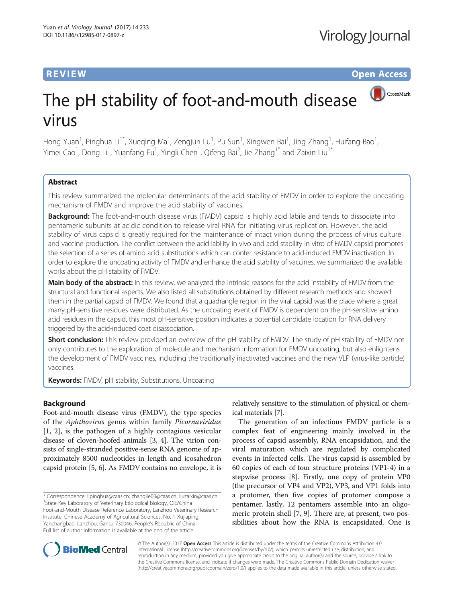**REVIEW CONSTRUCTION CONSTRUCTION CONSTRUCTS** 

CrossMark

# The pH stability of foot-and-mouth disease virus

Hong Yuan<sup>1</sup>, Pinghua Li<sup>1\*</sup>, Xueqing Ma<sup>1</sup>, Zengjun Lu<sup>1</sup>, Pu Sun<sup>1</sup>, Xingwen Bai<sup>1</sup>, Jing Zhang<sup>1</sup>, Huifang Bao<sup>1</sup> , Yimei Cao<sup>1</sup>, Dong Li<sup>1</sup>, Yuanfang Fu<sup>1</sup>, Yingli Chen<sup>1</sup>, Qifeng Bai<sup>2</sup>, Jie Zhang<sup>1\*</sup> and Zaixin Liu<sup>1\*</sup>

# Abstract

This review summarized the molecular determinants of the acid stability of FMDV in order to explore the uncoating mechanism of FMDV and improve the acid stability of vaccines.

**Background:** The foot-and-mouth disease virus (FMDV) capsid is highly acid labile and tends to dissociate into pentameric subunits at acidic condition to release viral RNA for initiating virus replication. However, the acid stability of virus capsid is greatly required for the maintenance of intact virion during the process of virus culture and vaccine production. The conflict between the acid lability in vivo and acid stability in vitro of FMDV capsid promotes the selection of a series of amino acid substitutions which can confer resistance to acid-induced FMDV inactivation. In order to explore the uncoating activity of FMDV and enhance the acid stability of vaccines, we summarized the available works about the pH stability of FMDV.

Main body of the abstract: In this review, we analyzed the intrinsic reasons for the acid instability of FMDV from the structural and functional aspects. We also listed all substitutions obtained by different research methods and showed them in the partial capsid of FMDV. We found that a quadrangle region in the viral capsid was the place where a great many pH-sensitive residues were distributed. As the uncoating event of FMDV is dependent on the pH-sensitive amino acid residues in the capsid, this most pH-sensitive position indicates a potential candidate location for RNA delivery triggered by the acid-induced coat disassociation.

Short conclusion: This review provided an overview of the pH stability of FMDV. The study of pH stability of FMDV not only contributes to the exploration of molecule and mechanism information for FMDV uncoating, but also enlightens the development of FMDV vaccines, including the traditionally inactivated vaccines and the new VLP (virus-like particle) vaccines.

Keywords: FMDV, pH stability, Substitutions, Uncoating

# Background

Foot-and-mouth disease virus (FMDV), the type species of the Aphthovirus genus within family Picornaviridae [[1, 2](#page-8-0)], is the pathogen of a highly contagious vesicular disease of cloven-hoofed animals [[3](#page-8-0), [4](#page-8-0)]. The virion consists of single-stranded positive-sense RNA genome of approximately 8500 nucleotides in length and icosahedron capsid protein [[5](#page-8-0), [6](#page-8-0)]. As FMDV contains no envelope, it is

\* Correspondence: [lipinghua@caas.cn](mailto:lipinghua@caas.cn); [zhangjie03@caas.cn;](mailto:zhangjie03@caas.cn) [liuzaixin@caas.cn](mailto:liuzaixin@caas.cn) <sup>1</sup> <sup>1</sup>State Key Laboratory of Veterinary Etiological Biology, OIE/China Foot-and-Mouth Disease Reference Laboratory, Lanzhou Veterinary Research Institute, Chinese Academy of Agricultural Sciences, No. 1 Xujiaping, Yanchangbao, Lanzhou, Gansu 730046, People's Republic of China Full list of author information is available at the end of the article

relatively sensitive to the stimulation of physical or chemical materials [\[7\]](#page-8-0).

The generation of an infectious FMDV particle is a complex feat of engineering mainly involved in the process of capsid assembly, RNA encapsidation, and the viral maturation which are regulated by complicated events in infected cells. The virus capsid is assembled by 60 copies of each of four structure proteins (VP1-4) in a stepwise process [\[8](#page-8-0)]. Firstly, one copy of protein VP0 (the precursor of VP4 and VP2), VP3, and VP1 folds into a protomer, then five copies of protomer compose a pentamer, lastly, 12 pentamers assemble into an oligomeric protein shell [\[7](#page-8-0), [9](#page-8-0)]. There are, at present, two possibilities about how the RNA is encapsidated. One is



© The Author(s). 2017 **Open Access** This article is distributed under the terms of the Creative Commons Attribution 4.0 International License [\(http://creativecommons.org/licenses/by/4.0/](http://creativecommons.org/licenses/by/4.0/)), which permits unrestricted use, distribution, and reproduction in any medium, provided you give appropriate credit to the original author(s) and the source, provide a link to the Creative Commons license, and indicate if changes were made. The Creative Commons Public Domain Dedication waiver [\(http://creativecommons.org/publicdomain/zero/1.0/](http://creativecommons.org/publicdomain/zero/1.0/)) applies to the data made available in this article, unless otherwise stated.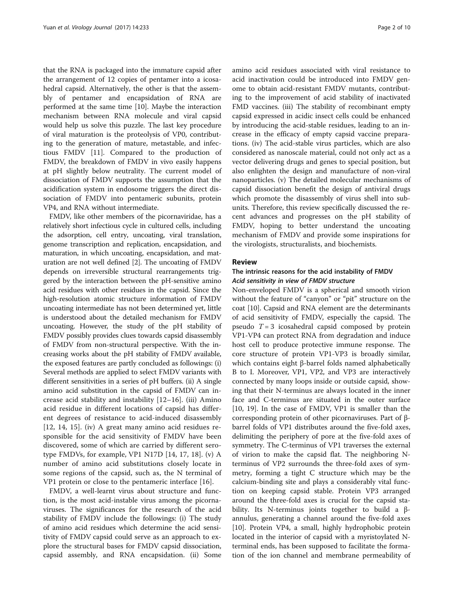that the RNA is packaged into the immature capsid after the arrangement of 12 copies of pentamer into a icosahedral capsid. Alternatively, the other is that the assembly of pentamer and encapsidation of RNA are performed at the same time [\[10\]](#page-8-0). Maybe the interaction mechanism between RNA molecule and viral capsid would help us solve this puzzle. The last key procedure of viral maturation is the proteolysis of VP0, contributing to the generation of mature, metastable, and infectious FMDV [\[11](#page-8-0)]. Compared to the production of FMDV, the breakdown of FMDV in vivo easily happens at pH slightly below neutrality. The current model of dissociation of FMDV supports the assumption that the acidification system in endosome triggers the direct dissociation of FMDV into pentameric subunits, protein VP4, and RNA without intermediate.

FMDV, like other members of the picornaviridae, has a relatively short infectious cycle in cultured cells, including the adsorption, cell entry, uncoating, viral translation, genome transcription and replication, encapsidation, and maturation, in which uncoating, encapsidation, and maturation are not well defined [\[2](#page-8-0)]. The uncoating of FMDV depends on irreversible structural rearrangements triggered by the interaction between the pH-sensitive amino acid residues with other residues in the capsid. Since the high-resolution atomic structure information of FMDV uncoating intermediate has not been determined yet, little is understood about the detailed mechanism for FMDV uncoating. However, the study of the pH stability of FMDV possibly provides clues towards capsid disassembly of FMDV from non-structural perspective. With the increasing works about the pH stability of FMDV available, the exposed features are partly concluded as followings: (i) Several methods are applied to select FMDV variants with different sensitivities in a series of pH buffers. (ii) A single amino acid substitution in the capsid of FMDV can increase acid stability and instability [[12](#page-8-0)–[16\]](#page-8-0). (iii) Amino acid residue in different locations of capsid has different degrees of resistance to acid-induced disassembly [[12, 14, 15\]](#page-8-0). (iv) A great many amino acid residues responsible for the acid sensitivity of FMDV have been discovered, some of which are carried by different serotype FMDVs, for example, VP1 N17D [\[14](#page-8-0), [17, 18\]](#page-8-0). (v) A number of amino acid substitutions closely locate in some regions of the capsid, such as, the N terminal of VP1 protein or close to the pentameric interface [\[16](#page-8-0)].

FMDV, a well-learnt virus about structure and function, is the most acid-instable virus among the picornaviruses. The significances for the research of the acid stability of FMDV include the followings: (i) The study of amino acid residues which determine the acid sensitivity of FMDV capsid could serve as an approach to explore the structural bases for FMDV capsid dissociation, capsid assembly, and RNA encapsidation. (ii) Some

amino acid residues associated with viral resistance to acid inactivation could be introduced into FMDV genome to obtain acid-resistant FMDV mutants, contributing to the improvement of acid stability of inactivated FMD vaccines. (iii) The stability of recombinant empty capsid expressed in acidic insect cells could be enhanced by introducing the acid-stable residues, leading to an increase in the efficacy of empty capsid vaccine preparations. (iv) The acid-stable virus particles, which are also considered as nanoscale material, could not only act as a vector delivering drugs and genes to special position, but also enlighten the design and manufacture of non-viral nanoparticles. (v) The detailed molecular mechanisms of capsid dissociation benefit the design of antiviral drugs which promote the disassembly of virus shell into subunits. Therefore, this review specifically discussed the recent advances and progresses on the pH stability of FMDV, hoping to better understand the uncoating mechanism of FMDV and provide some inspirations for the virologists, structuralists, and biochemists.

# Review

# The intrinsic reasons for the acid instability of FMDV Acid sensitivity in view of FMDV structure

Non-enveloped FMDV is a spherical and smooth virion without the feature of "canyon" or "pit" structure on the coat [[10\]](#page-8-0). Capsid and RNA element are the determinants of acid sensitivity of FMDV, especially the capsid. The pseudo  $T = 3$  icosahedral capsid composed by protein VP1-VP4 can protect RNA from degradation and induce host cell to produce protective immune response. The core structure of protein VP1-VP3 is broadly similar, which contains eight β-barrel folds named alphabetically B to I. Moreover, VP1, VP2, and VP3 are interactively connected by many loops inside or outside capsid, showing that their N-terminus are always located in the inner face and C-terminus are situated in the outer surface [[10, 19\]](#page-8-0). In the case of FMDV, VP1 is smaller than the corresponding protein of other picornaviruses. Part of βbarrel folds of VP1 distributes around the five-fold axes, delimiting the periphery of pore at the five-fold axes of symmetry. The C-terminus of VP1 traverses the external of virion to make the capsid flat. The neighboring Nterminus of VP2 surrounds the three-fold axes of symmetry, forming a tight C structure which may be the calcium-binding site and plays a considerably vital function on keeping capsid stable. Protein VP3 arranged around the three-fold axes is crucial for the capsid stability. Its N-terminus joints together to build a βannulus, generating a channel around the five-fold axes [[10\]](#page-8-0). Protein VP4, a small, highly hydrophobic protein located in the interior of capsid with a myristoylated Nterminal ends, has been supposed to facilitate the formation of the ion channel and membrane permeability of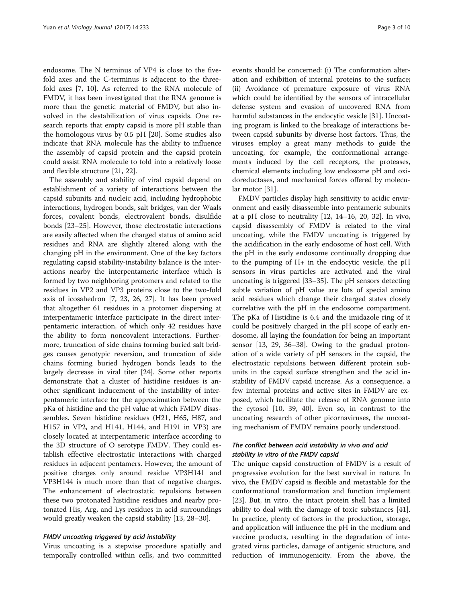endosome. The N terminus of VP4 is close to the fivefold axes and the C-terminus is adjacent to the threefold axes [\[7](#page-8-0), [10\]](#page-8-0). As referred to the RNA molecule of FMDV, it has been investigated that the RNA genome is more than the genetic material of FMDV, but also involved in the destabilization of virus capsids. One research reports that empty capsid is more pH stable than the homologous virus by 0.5 pH [\[20\]](#page-8-0). Some studies also indicate that RNA molecule has the ability to influence the assembly of capsid protein and the capsid protein could assist RNA molecule to fold into a relatively loose and flexible structure [[21, 22\]](#page-8-0).

The assembly and stability of viral capsid depend on establishment of a variety of interactions between the capsid subunits and nucleic acid, including hydrophobic interactions, hydrogen bonds, salt bridges, van der Waals forces, covalent bonds, electrovalent bonds, disulfide bonds [\[23](#page-8-0)–[25\]](#page-8-0). However, those electrostatic interactions are easily affected when the charged status of amino acid residues and RNA are slightly altered along with the changing pH in the environment. One of the key factors regulating capsid stability-instability balance is the interactions nearby the interpentameric interface which is formed by two neighboring protomers and related to the residues in VP2 and VP3 proteins close to the two-fold axis of icosahedron [\[7, 23](#page-8-0), [26, 27](#page-8-0)]. It has been proved that altogether 61 residues in a protomer dispersing at interpentameric interface participate in the direct interpentameric interaction, of which only 42 residues have the ability to form noncovalent interactions. Furthermore, truncation of side chains forming buried salt bridges causes genotypic reversion, and truncation of side chains forming buried hydrogen bonds leads to the largely decrease in viral titer [[24\]](#page-8-0). Some other reports demonstrate that a cluster of histidine residues is another significant inducement of the instability of interpentameric interface for the approximation between the pKa of histidine and the pH value at which FMDV disassembles. Seven histidine residues (H21, H65, H87, and H157 in VP2, and H141, H144, and H191 in VP3) are closely located at interpentameric interface according to the 3D structure of O serotype FMDV. They could establish effective electrostatic interactions with charged residues in adjacent pentamers. However, the amount of positive charges only around residue VP3H141 and VP3H144 is much more than that of negative charges. The enhancement of electrostatic repulsions between these two protonated histidine residues and nearby protonated His, Arg, and Lys residues in acid surroundings would greatly weaken the capsid stability [\[13](#page-8-0), [28](#page-8-0)–[30\]](#page-8-0).

#### FMDV uncoating triggered by acid instability

Virus uncoating is a stepwise procedure spatially and temporally controlled within cells, and two committed

events should be concerned: (i) The conformation alteration and exhibition of internal proteins to the surface; (ii) Avoidance of premature exposure of virus RNA which could be identified by the sensors of intracellular defense system and evasion of uncovered RNA from harmful substances in the endocytic vesicle [[31](#page-8-0)]. Uncoating program is linked to the breakage of interactions between capsid subunits by diverse host factors. Thus, the viruses employ a great many methods to guide the uncoating, for example, the conformational arrangements induced by the cell receptors, the proteases, chemical elements including low endosome pH and oxidoreductases, and mechanical forces offered by molecular motor [[31](#page-8-0)].

FMDV particles display high sensitivity to acidic environment and easily disassemble into pentameric subunits at a pH close to neutrality [\[12](#page-8-0), [14](#page-8-0)–[16, 20, 32\]](#page-8-0). In vivo, capsid disassembly of FMDV is related to the viral uncoating, while the FMDV uncoating is triggered by the acidification in the early endosome of host cell. With the pH in the early endosome continually dropping due to the pumping of  $H<sub>+</sub>$  in the endocytic vesicle, the pH sensors in virus particles are activated and the viral uncoating is triggered [[33](#page-8-0)–[35](#page-8-0)]. The pH sensors detecting subtle variation of pH value are lots of special amino acid residues which change their charged states closely correlative with the pH in the endosome compartment. The pKa of Histidine is 6.4 and the imidazole ring of it could be positively charged in the pH scope of early endosome, all laying the foundation for being an important sensor [\[13, 29, 36](#page-8-0)–[38](#page-8-0)]. Owing to the gradual protonation of a wide variety of pH sensors in the capsid, the electrostatic repulsions between different protein subunits in the capsid surface strengthen and the acid instability of FMDV capsid increase. As a consequence, a few internal proteins and active sites in FMDV are exposed, which facilitate the release of RNA genome into the cytosol [[10, 39](#page-8-0), [40\]](#page-8-0). Even so, in contrast to the uncoating research of other picornaviruses, the uncoating mechanism of FMDV remains poorly understood.

# The conflict between acid instability in vivo and acid stability in vitro of the FMDV capsid

The unique capsid construction of FMDV is a result of progressive evolution for the best survival in nature. In vivo, the FMDV capsid is flexible and metastable for the conformational transformation and function implement [[23\]](#page-8-0). But, in vitro, the intact protein shell has a limited ability to deal with the damage of toxic substances [\[41](#page-8-0)]. In practice, plenty of factors in the production, storage, and application will influence the pH in the medium and vaccine products, resulting in the degradation of integrated virus particles, damage of antigenic structure, and reduction of immunogenicity. From the above, the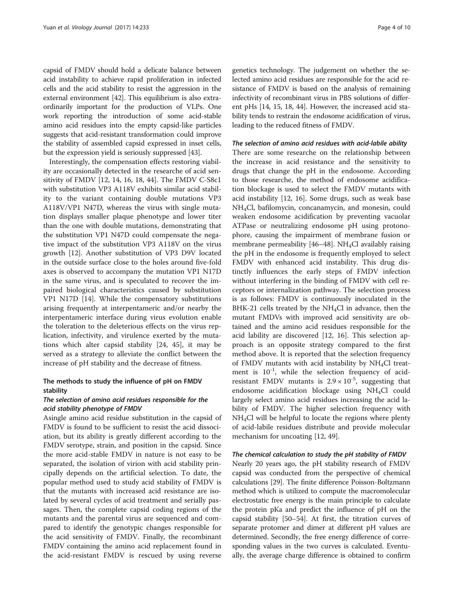capsid of FMDV should hold a delicate balance between acid instability to achieve rapid proliferation in infected cells and the acid stability to resist the aggression in the external environment [[42](#page-8-0)]. This equilibrium is also extraordinarily important for the production of VLPs. One work reporting the introduction of some acid-stable amino acid residues into the empty capsid-like particles suggests that acid-resistant transformation could improve the stability of assembled capsid expressed in inset cells, but the expression yield is seriously suppressed [\[43\]](#page-8-0).

Interestingly, the compensation effects restoring viability are occasionally detected in the researche of acid sensitivity of FMDV [\[12, 14](#page-8-0), [16](#page-8-0), [18](#page-8-0), [44](#page-8-0)]. The FMDV C-S8c1 with substitution VP3 A118V exhibits similar acid stability to the variant containing double mutations VP3 A118V/VP1 N47D, whereas the virus with single mutation displays smaller plaque phenotype and lower titer than the one with double mutations, demonstrating that the substitution VP1 N47D could compensate the negative impact of the substitution VP3 A118V on the virus growth [\[12\]](#page-8-0). Another substitution of VP3 D9V located in the outside surface close to the holes around five-fold axes is observed to accompany the mutation VP1 N17D in the same virus, and is speculated to recover the impaired biological characteristics caused by substitution VP1 N17D [\[14](#page-8-0)]. While the compensatory substitutions arising frequently at interpentameric and/or nearby the interpentameric interface during virus evolution enable the toleration to the deleterious effects on the virus replication, infectivity, and virulence exerted by the mutations which alter capsid stability [\[24](#page-8-0), [45\]](#page-8-0), it may be served as a strategy to alleviate the conflict between the increase of pH stability and the decrease of fitness.

# The methods to study the influence of pH on FMDV stability

# The selection of amino acid residues responsible for the acid stability phenotype of FMDV

Asingle amino acid residue substitution in the capsid of FMDV is found to be sufficient to resist the acid dissociation, but its ability is greatly different according to the FMDV serotype, strain, and position in the capsid. Since the more acid-stable FMDV in nature is not easy to be separated, the isolation of virion with acid stability principally depends on the artificial selection. To date, the popular method used to study acid stability of FMDV is that the mutants with increased acid resistance are isolated by several cycles of acid treatment and serially passages. Then, the complete capsid coding regions of the mutants and the parental virus are sequenced and compared to identify the genotypic changes responsible for the acid sensitivity of FMDV. Finally, the recombinant FMDV containing the amino acid replacement found in the acid-resistant FMDV is rescued by using reverse genetics technology. The judgement on whether the selected amino acid residues are responsible for the acid resistance of FMDV is based on the analysis of remaining infectivity of recombinant virus in PBS solutions of different pHs [[14](#page-8-0), [15](#page-8-0), [18](#page-8-0), [44](#page-8-0)]. However, the increased acid stability tends to restrain the endosome acidification of virus, leading to the reduced fitness of FMDV.

#### The selection of amino acid residues with acid-labile ability

There are some researche on the relationship between the increase in acid resistance and the sensitivity to drugs that change the pH in the endosome. According to those researche, the method of endosome acidification blockage is used to select the FMDV mutants with acid instability [[12, 16](#page-8-0)]. Some drugs, such as weak base NH4Cl, bafilomycin, concanamycin, and monesin, could weaken endosome acidification by preventing vacuolar ATPase or neutralizing endosome pH using protonophore, causing the impairment of membrane fusion or membrane permeability [[46](#page-9-0)–[48](#page-9-0)]. NH<sub>4</sub>Cl availably raising the pH in the endosome is frequently employed to select FMDV with enhanced acid instability. This drug distinctly influences the early steps of FMDV infection without interfering in the binding of FMDV with cell receptors or internalization pathway. The selection process is as follows: FMDV is continuously inoculated in the BHK-21 cells treated by the  $NH<sub>4</sub>Cl$  in advance, then the mutant FMDVs with improved acid sensitivity are obtained and the amino acid residues responsible for the acid lability are discovered [[12, 16](#page-8-0)]. This selection approach is an opposite strategy compared to the first method above. It is reported that the selection frequency of FMDV mutants with acid instability by  $NH<sub>4</sub>Cl$  treatment is  $10^{-1}$ , while the selection frequency of acidresistant FMDV mutants is  $2.9 \times 10^{-5}$ , suggesting that endosome acidification blockage using NH4Cl could largely select amino acid residues increasing the acid lability of FMDV. The higher selection frequency with NH4Cl will be helpful to locate the regions where plenty of acid-labile residues distribute and provide molecular mechanism for uncoating [[12](#page-8-0), [49](#page-9-0)].

### The chemical calculation to study the pH stability of FMDV

Nearly 20 years ago, the pH stability research of FMDV capsid was conducted from the perspective of chemical calculations [[29\]](#page-8-0). The finite difference Poisson-Boltzmann method which is utilized to compute the macromolecular electrostatic free energy is the main principle to calculate the protein pKa and predict the influence of pH on the capsid stability [\[50](#page-9-0)–[54](#page-9-0)]. At first, the titration curves of separate protomer and dimer at different pH values are determined. Secondly, the free energy difference of corresponding values in the two curves is calculated. Eventually, the average charge difference is obtained to confirm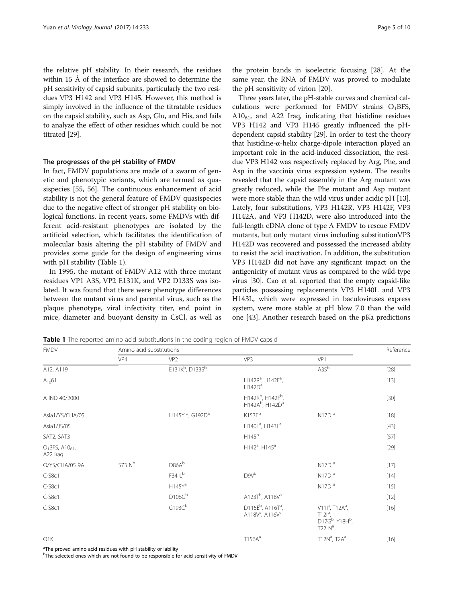<span id="page-4-0"></span>the relative pH stability. In their research, the residues within 15 Å of the interface are showed to determine the pH sensitivity of capsid subunits, particularly the two residues VP3 H142 and VP3 H145. However, this method is simply involved in the influence of the titratable residues on the capsid stability, such as Asp, Glu, and His, and fails to analyze the effect of other residues which could be not titrated [\[29](#page-8-0)].

### The progresses of the pH stability of FMDV

In fact, FMDV populations are made of a swarm of genetic and phenotypic variants, which are termed as quasispecies [[55, 56](#page-9-0)]. The continuous enhancement of acid stability is not the general feature of FMDV quasispecies due to the negative effect of stronger pH stability on biological functions. In recent years, some FMDVs with different acid-resistant phenotypes are isolated by the artificial selection, which facilitates the identification of molecular basis altering the pH stability of FMDV and provides some guide for the design of engineering virus with pH stability (Table 1).

In 1995, the mutant of FMDV A12 with three mutant residues VP1 A3S, VP2 E131K, and VP2 D133S was isolated. It was found that there were phenotype differences between the mutant virus and parental virus, such as the plaque phenotype, viral infectivity titer, end point in mice, diameter and buoyant density in CsCl, as well as

Three years later, the pH-stable curves and chemical calculations were performed for FMDV strains  $O_1BFS$ ,  $A10_{61}$ , and A22 Iraq, indicating that histidine residues VP3 H142 and VP3 H145 greatly influenced the pHdependent capsid stability [[29\]](#page-8-0). In order to test the theory that histidine-α-helix charge-dipole interaction played an important role in the acid-induced dissociation, the residue VP3 H142 was respectively replaced by Arg, Phe, and Asp in the vaccinia virus expression system. The results revealed that the capsid assembly in the Arg mutant was greatly reduced, while the Phe mutant and Asp mutant were more stable than the wild virus under acidic pH [[13](#page-8-0)]. Lately, four substitutions, VP3 H142R, VP3 H142F, VP3 H142A, and VP3 H142D, were also introduced into the full-length cDNA clone of type A FMDV to rescue FMDV mutants, but only mutant virus including substitutionVP3 H142D was recovered and possessed the increased ability to resist the acid inactivation. In addition, the substitution VP3 H142D did not have any significant impact on the antigenicity of mutant virus as compared to the wild-type virus [\[30\]](#page-8-0). Cao et al. reported that the empty capsid-like particles possessing replacements VP3 H140L and VP3 H143L, which were expressed in baculoviruses express system, were more stable at pH blow 7.0 than the wild one [\[43\]](#page-8-0). Another research based on the pKa predictions

Table 1 The reported amino acid substitutions in the coding region of FMDV capsid

| <b>FMDV</b>                          | Amino acid substitutions |                                         |                                                                                      |                                                                                                             | Reference |
|--------------------------------------|--------------------------|-----------------------------------------|--------------------------------------------------------------------------------------|-------------------------------------------------------------------------------------------------------------|-----------|
|                                      | VP4                      | VP <sub>2</sub>                         | VP3                                                                                  | VP1                                                                                                         |           |
| A12, A119                            |                          | E131K <sup>b</sup> , D133S <sup>b</sup> |                                                                                      | $A3S^b$                                                                                                     | $[28]$    |
| $A_{10}61$                           |                          |                                         | H142R <sup>a</sup> , H142F <sup>a</sup> ,<br>H142D <sup>a</sup>                      |                                                                                                             | $[13]$    |
| A IND 40/2000                        |                          |                                         | H142R <sup>b</sup> , H142F <sup>b</sup> ,<br>H142A <sup>b</sup> , H142D <sup>a</sup> |                                                                                                             | $[30]$    |
| Asia1/YS/CHA/05                      |                          | H145Y <sup>a</sup> , G192D <sup>b</sup> | K153E <sup>b</sup>                                                                   | N17D <sup>a</sup>                                                                                           | $[18]$    |
| Asia1/JS/05                          |                          |                                         | H140L <sup>a</sup> , H143L <sup>a</sup>                                              |                                                                                                             | $[43]$    |
| SAT2, SAT3                           |                          |                                         | $H145^b$                                                                             |                                                                                                             | [57]      |
| $O_1$ BFS, A10 $_{61}$ ,<br>A22 Iraq |                          |                                         | H142 <sup>a</sup> , H145 <sup>a</sup>                                                |                                                                                                             | $[29]$    |
| O/YS/CHA/05 9A                       | S73 N <sup>b</sup>       | D86A <sup>b</sup>                       |                                                                                      | N17D <sup>a</sup>                                                                                           | [17]      |
| $C-58c1$                             |                          | $F34L^b$                                | D9Vb                                                                                 | N17D <sup>a</sup>                                                                                           | $[14]$    |
| $C-$ S8c1                            |                          | $H145Y^a$                               |                                                                                      | N17D <sup>a</sup>                                                                                           | $[15]$    |
| $C-$ S8c1                            |                          | D106G <sup>b</sup>                      | A123T <sup>b</sup> , A118V <sup>a</sup>                                              |                                                                                                             | $[12]$    |
| $C-$ S8c1                            |                          | G193C <sup>b</sup>                      | D115E <sup>b</sup> , A116T <sup>a</sup> ,<br>A118V <sup>a</sup> , A116V <sup>a</sup> | V11 <sup>a</sup> , T12A <sup>a</sup> ,<br>$T12P$ ,<br>D17G <sup>b</sup> , Y18H <sup>b</sup> ,<br>$T22$ $Na$ | $[16]$    |
| O1K                                  |                          |                                         | $T156A^a$                                                                            | $T12N^a$ , T2A $^a$                                                                                         | $[16]$    |

<sup>a</sup>The proved amino acid residues with pH stability or lability

<sup>b</sup>The selected ones which are not found to be responsible for acid sensitivity of FMDV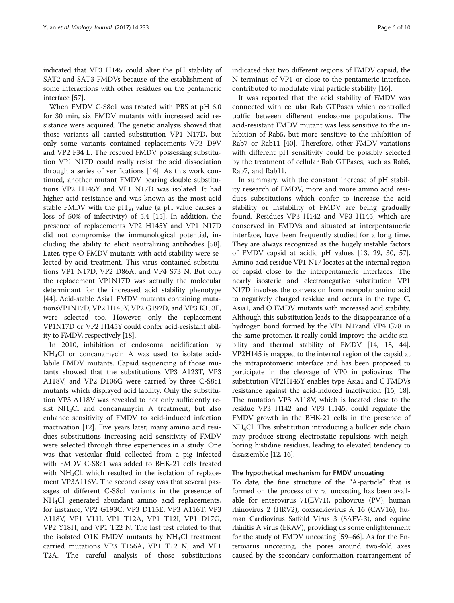indicated that VP3 H145 could alter the pH stability of SAT2 and SAT3 FMDVs because of the establishment of some interactions with other residues on the pentameric interface [[57\]](#page-9-0).

When FMDV C-S8c1 was treated with PBS at pH 6.0 for 30 min, six FMDV mutants with increased acid resistance were acquired. The genetic analysis showed that those variants all carried substitution VP1 N17D, but only some variants contained replacements VP3 D9V and VP2 F34 L. The rescued FMDV possessing substitution VP1 N17D could really resist the acid dissociation through a series of verifications [[14\]](#page-8-0). As this work continued, another mutant FMDV bearing double substitutions VP2 H145Y and VP1 N17D was isolated. It had higher acid resistance and was known as the most acid stable FMDV with the  $pH_{50}$  value (a pH value causes a loss of 50% of infectivity) of 5.4 [[15\]](#page-8-0). In addition, the presence of replacements VP2 H145Y and VP1 N17D did not compromise the immunological potential, including the ability to elicit neutralizing antibodies [\[58](#page-9-0)]. Later, type O FMDV mutants with acid stability were selected by acid treatment. This virus contained substitutions VP1 N17D, VP2 D86A, and VP4 S73 N. But only the replacement VP1N17D was actually the molecular determinant for the increased acid stability phenotype [[44](#page-8-0)]. Acid-stable Asia1 FMDV mutants containing mutationsVP1N17D, VP2 H145Y, VP2 G192D, and VP3 K153E, were selected too. However, only the replacement VP1N17D or VP2 H145Y could confer acid-resistant ability to FMDV, respectively [[18](#page-8-0)].

In 2010, inhibition of endosomal acidification by NH4Cl or concanamycin A was used to isolate acidlabile FMDV mutants. Capsid sequencing of those mutants showed that the substitutions VP3 A123T, VP3 A118V, and VP2 D106G were carried by three C-S8c1 mutants which displayed acid lability. Only the substitution VP3 A118V was revealed to not only sufficiently resist NH4Cl and concanamycin A treatment, but also enhance sensitivity of FMDV to acid-induced infection inactivation [\[12\]](#page-8-0). Five years later, many amino acid residues substitutions increasing acid sensitivity of FMDV were selected through three experiences in a study. One was that vesicular fluid collected from a pig infected with FMDV C-S8c1 was added to BHK-21 cells treated with NH<sub>4</sub>Cl, which resulted in the isolation of replacement VP3A116V. The second assay was that several passages of different C-S8c1 variants in the presence of NH4Cl generated abundant amino acid replacements, for instance, VP2 G193C, VP3 D115E, VP3 A116T, VP3 A118V, VP1 V11I, VP1 T12A, VP1 T12I, VP1 D17G, VP2 Y18H, and VP1 T22 N. The last test related to that the isolated O1K FMDV mutants by  $NH<sub>4</sub>Cl$  treatment carried mutations VP3 T156A, VP1 T12 N, and VP1 T2A. The careful analysis of those substitutions indicated that two different regions of FMDV capsid, the N-terminus of VP1 or close to the pentameric interface, contributed to modulate viral particle stability [[16](#page-8-0)].

It was reported that the acid stability of FMDV was connected with cellular Rab GTPases which controlled traffic between different endosome populations. The acid-resistant FMDV mutant was less sensitive to the inhibition of Rab5, but more sensitive to the inhibition of Rab7 or Rab11 [\[40](#page-8-0)]. Therefore, other FMDV variations with different pH sensitivity could be possibly selected by the treatment of cellular Rab GTPases, such as Rab5, Rab7, and Rab11.

In summary, with the constant increase of pH stability research of FMDV, more and more amino acid residues substitutions which confer to increase the acid stability or instability of FMDV are being gradually found. Residues VP3 H142 and VP3 H145, which are conserved in FMDVs and situated at interpentameric interface, have been frequently studied for a long time. They are always recognized as the hugely instable factors of FMDV capsid at acidic pH values [[13](#page-8-0), [29](#page-8-0), [30](#page-8-0), [57](#page-9-0)]. Amino acid residue VP1 N17 locates at the internal region of capsid close to the interpentameric interfaces. The nearly isosteric and electronegative substitution VP1 N17D involves the conversion from nonpolar amino acid to negatively charged residue and occurs in the type C, Asia1, and O FMDV mutants with increased acid stability. Although this substitution leads to the disappearance of a hydrogen bond formed by the VP1 N17and VP4 G78 in the same protomer, it really could improve the acidic stability and thermal stability of FMDV [\[14, 18](#page-8-0), [44](#page-8-0)]. VP2H145 is mapped to the internal region of the capsid at the intraprotomeric interface and has been proposed to participate in the cleavage of VP0 in poliovirus. The substitution VP2H145Y enables type Asia1 and C FMDVs resistance against the acid-induced inactivation [[15](#page-8-0), [18](#page-8-0)]. The mutation VP3 A118V, which is located close to the residue VP3 H142 and VP3 H145, could regulate the FMDV growth in the BHK-21 cells in the presence of NH4Cl. This substitution introducing a bulkier side chain may produce strong electrostatic repulsions with neighboring histidine residues, leading to elevated tendency to disassemble [[12](#page-8-0), [16\]](#page-8-0).

#### The hypothetical mechanism for FMDV uncoating

To date, the fine structure of the "A-particle" that is formed on the process of viral uncoating has been available for enterovirus 71(EV71), poliovirus (PV), human rhinovirus 2 (HRV2), coxsackievirus A 16 (CAV16), human Cardiovirus Saffold Virus 3 (SAFV-3), and equine rhinitis A virus (ERAV), providing us some enlightenment for the study of FMDV uncoating [\[59](#page-9-0)–[66](#page-9-0)]. As for the Enterovirus uncoating, the pores around two-fold axes caused by the secondary conformation rearrangement of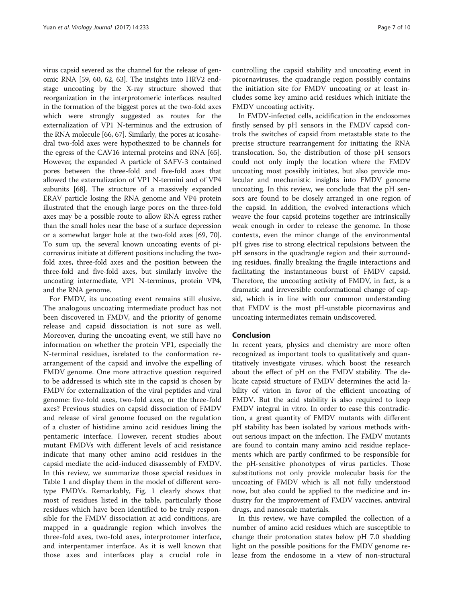virus capsid severed as the channel for the release of genomic RNA [[59, 60, 62, 63](#page-9-0)]. The insights into HRV2 endstage uncoating by the X-ray structure showed that reorganization in the interprotomeric interfaces resulted in the formation of the biggest pores at the two-fold axes which were strongly suggested as routes for the externalization of VP1 N-terminus and the extrusion of the RNA molecule [[66](#page-9-0), [67\]](#page-9-0). Similarly, the pores at icosahedral two-fold axes were hypothesized to be channels for the egress of the CAV16 internal proteins and RNA [[65](#page-9-0)]. However, the expanded A particle of SAFV-3 contained pores between the three-fold and five-fold axes that allowed the externalization of VP1 N-termini and of VP4 subunits [[68](#page-9-0)]. The structure of a massively expanded ERAV particle losing the RNA genome and VP4 protein illustrated that the enough large pores on the three-fold axes may be a possible route to allow RNA egress rather than the small holes near the base of a surface depression or a somewhat larger hole at the two-fold axes [\[69, 70](#page-9-0)]. To sum up, the several known uncoating events of picornavirus initiate at different positions including the twofold axes, three-fold axes and the position between the three-fold and five-fold axes, but similarly involve the uncoating intermediate, VP1 N-terminus, protein VP4, and the RNA genome.

For FMDV, its uncoating event remains still elusive. The analogous uncoating intermediate product has not been discovered in FMDV, and the priority of genome release and capsid dissociation is not sure as well. Moreover, during the uncoating event, we still have no information on whether the protein VP1, especially the N-terminal residues, isrelated to the conformation rearrangement of the capsid and involve the expelling of FMDV genome. One more attractive question required to be addressed is which site in the capsid is chosen by FMDV for externalization of the viral peptides and viral genome: five-fold axes, two-fold axes, or the three-fold axes? Previous studies on capsid dissociation of FMDV and release of viral genome focused on the regulation of a cluster of histidine amino acid residues lining the pentameric interface. However, recent studies about mutant FMDVs with different levels of acid resistance indicate that many other amino acid residues in the capsid mediate the acid-induced disassembly of FMDV. In this review, we summarize those special residues in Table [1](#page-4-0) and display them in the model of different serotype FMDVs. Remarkably, Fig. [1](#page-7-0) clearly shows that most of residues listed in the table, particularly those residues which have been identified to be truly responsible for the FMDV dissociation at acid conditions, are mapped in a quadrangle region which involves the three-fold axes, two-fold axes, interprotomer interface, and interpentamer interface. As it is well known that those axes and interfaces play a crucial role in controlling the capsid stability and uncoating event in picornaviruses, the quadrangle region possibly contains the initiation site for FMDV uncoating or at least includes some key amino acid residues which initiate the FMDV uncoating activity.

In FMDV-infected cells, acidification in the endosomes firstly sensed by pH sensors in the FMDV capsid controls the switches of capsid from metastable state to the precise structure rearrangement for initiating the RNA translocation. So, the distribution of those pH sensors could not only imply the location where the FMDV uncoating most possibly initiates, but also provide molecular and mechanistic insights into FMDV genome uncoating. In this review, we conclude that the pH sensors are found to be closely arranged in one region of the capsid. In addition, the evolved interactions which weave the four capsid proteins together are intrinsically weak enough in order to release the genome. In those contexts, even the minor change of the environmental pH gives rise to strong electrical repulsions between the pH sensors in the quadrangle region and their surrounding residues, finally breaking the fragile interactions and facilitating the instantaneous burst of FMDV capsid. Therefore, the uncoating activity of FMDV, in fact, is a dramatic and irreversible conformational change of capsid, which is in line with our common understanding that FMDV is the most pH-unstable picornavirus and uncoating intermediates remain undiscovered.

# Conclusion

In recent years, physics and chemistry are more often recognized as important tools to qualitatively and quantitatively investigate viruses, which boost the research about the effect of pH on the FMDV stability. The delicate capsid structure of FMDV determines the acid lability of virion in favor of the efficient uncoating of FMDV. But the acid stability is also required to keep FMDV integral in vitro. In order to ease this contradiction, a great quantity of FMDV mutants with different pH stability has been isolated by various methods without serious impact on the infection. The FMDV mutants are found to contain many amino acid residue replacements which are partly confirmed to be responsible for the pH-sensitive phonotypes of virus particles. Those substitutions not only provide molecular basis for the uncoating of FMDV which is all not fully understood now, but also could be applied to the medicine and industry for the improvement of FMDV vaccines, antiviral drugs, and nanoscale materials.

In this review, we have compiled the collection of a number of amino acid residues which are susceptible to change their protonation states below pH 7.0 shedding light on the possible positions for the FMDV genome release from the endosome in a view of non-structural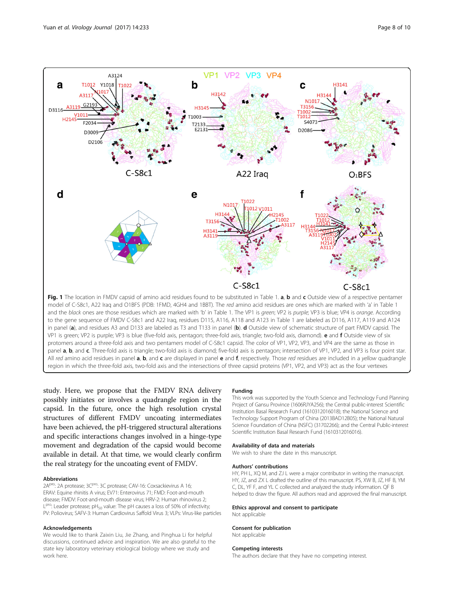

<span id="page-7-0"></span>

study. Here, we propose that the FMDV RNA delivery possibly initiates or involves a quadrangle region in the capsid. In the future, once the high resolution crystal structures of different FMDV uncoating intermediates have been achieved, the pH-triggered structural alterations and specific interactions changes involved in a hinge-type movement and degradation of the capsid would become available in detail. At that time, we would clearly confirm the real strategy for the uncoating event of FMDV.

#### Abbreviations

2A<sup>pro</sup>: 2A protease; 3C<sup>pro</sup>: 3C protease; CAV-16: Coxsackievirus A 16; ERAV: Equine rhinitis A virus; EV71: Enterovirus 71; FMD: Foot-and-mouth disease; FMDV: Foot-and-mouth disease virus; HRV-2: Human rhinovirus 2; L<sup>pro</sup>: Leader protease; pH<sub>50</sub> value: The pH causes a loss of 50% of infectivity; PV: Poliovirus; SAFV-3: Human Cardiovirus Saffold Virus 3; VLPs: Virus-like particles

#### Acknowledgements

We would like to thank Zaixin Liu, Jie Zhang, and Pinghua Li for helpful discussions, continued advice and inspiration. We are also grateful to the state key laboratory veterinary etiological biology where we study and work here.

#### Funding

This work was supported by the Youth Science and Technology Fund Planning Project of Gansu Province (1606RJYA256); the Central public-interest Scientific Institution Basal Research Fund (1610312016018); the National Science and Technology Support Program of China (2013BAD12B05); the National Natural Science Foundation of China (NSFC) (31702266); and the Central Public-interest Scientific Institution Basal Research Fund (1610312016016).

#### Availability of data and materials

We wish to share the date in this manuscript.

#### Authors' contributions

HY, PH L, XQ M, and ZJ L were a major contributor in writing the manuscript. HY, JZ, and ZX L drafted the outline of this manuscript. PS, XW B, JZ, HF B, YM C, DL, YF F, and YL C collected and analyzed the study information. QF B helped to draw the figure. All authors read and approved the final manuscript.

#### Ethics approval and consent to participate

Not applicable

# Consent for publication

Not applicable

# Competing interests

The authors declare that they have no competing interest.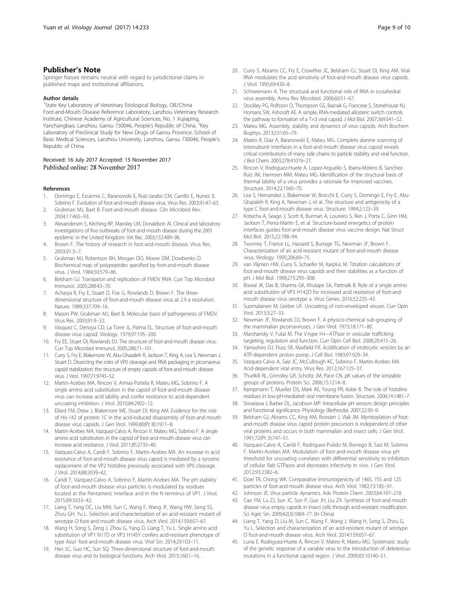# <span id="page-8-0"></span>Publisher's Note

Springer Nature remains neutral with regard to jurisdictional claims in published maps and institutional affiliations.

#### Author details

<sup>1</sup>State Key Laboratory of Veterinary Etiological Biology, OIE/China Foot-and-Mouth Disease Reference Laboratory, Lanzhou Veterinary Research Institute, Chinese Academy of Agricultural Sciences, No. 1 Xujiaping, Yanchangbao, Lanzhou, Gansu 730046, People's Republic of China. <sup>2</sup>Key Laboratory of Preclinical Study for New Drugs of Gansu Province, School of Basic Medical Sciences, Lanzhou University, Lanzhou, Gansu 730046, People's Republic of China.

#### Received: 16 July 2017 Accepted: 15 November 2017 Published online: 28 November 2017

#### References

- 1. Domingo E, Escarmis C, Baranowski E, Ruiz-Jarabo CM, Carrillo E, Nunez JI, Sobrino F. Evolution of foot-and-mouth disease virus. Virus Res. 2003;91:47–63.
- 2. Grubman MJ, Baxt B. Foot-and-mouth disease. Clin Microbiol Rev. 2004;17:465–93.
- 3. Alexandersen S, Kitching RP, Mansley LM, Donaldson AI. Clinical and laboratory investigations of five outbreaks of foot-and-mouth disease during the 2001 epidemic in the United Kingdom. Vet Rec. 2003;152:489–96.
- 4. Brown F. The history of research in foot-and-mouth disease. Virus Res. 2003;91:3–7.
- 5. Grubman MJ, Robertson BH, Morgan DO, Moore DM, Dowbenko D. Biochemical map of polypeptides specified by foot-and-mouth disease virus. J Virol. 1984;50:579–86.
- Belsham GJ. Translation and replication of FMDV RNA. Curr Top Microbiol Immunol. 2005;288:43–70.
- 7. Acharya R, Fry E, Stuart D, Fox G, Rowlands D, Brown F. The threedimensional structure of foot-and-mouth disease virus at 2.9 a resolution. Nature. 1989;337:709–16.
- 8. Mason PW, Grubman MJ, Baxt B. Molecular basis of pathogenesis of FMDV. Virus Res. 2003;91:9–32.
- 9. Vasquez C, Denoya CD, La Torre JL, Palma EL. Structure of foot-and-mouth disease virus capsid. Virology. 1979;97:195–200.
- Fry EE, Stuart DI, Rowlands DJ. The structure of foot-and-mouth disease virus. Curr Top Microbiol Immunol. 2005;288:71–101.
- 11. Curry S, Fry E, Blakemore W, Abu-Ghazaleh R, Jackson T, King A, Lea S, Newman J, Stuart D. Dissecting the roles of VP0 cleavage and RNA packaging in picornavirus capsid stabilization: the structure of empty capsids of foot-and-mouth disease virus. J Virol. 1997;71:9743–52.
- 12. Martin-Acebes MA, Rincon V, Armas-Portela R, Mateu MG, Sobrino F. A single amino acid substitution in the capsid of foot-and-mouth disease virus can increase acid lability and confer resistance to acid-dependent uncoating inhibition. J Virol. 2010;84:2902–12.
- 13. Ellard FM, Drew J, Blakemore WE, Stuart DI, King AM. Evidence for the role of His-142 of protein 1C in the acid-induced disassembly of foot-and-mouth disease virus capsids. J Gen Virol. 1999;80(Pt 8):1911–8.
- 14. Martin-Acebes MA, Vazquez-Calvo A, Rincon V, Mateu MG, Sobrino F. A single amino acid substitution in the capsid of foot-and-mouth disease virus can increase acid resistance. J Virol. 2011;85:2733–40.
- 15. Vazquez-Calvo A, Caridi F, Sobrino F, Martin-Acebes MA. An increase in acid resistance of foot-and-mouth disease virus capsid is mediated by a tyrosine replacement of the VP2 histidine previously associated with VP0 cleavage. J Virol. 2014;88:3039–42.
- 16. Caridi F, Vazquez-Calvo A, Sobrino F, Martin-Acebes MA. The pH stability of foot-and-mouth disease virus particles is modulated by residues located at the Pentameric Interface and in the N terminus of VP1. J Virol. 2015;89:5633–42.
- 17. Liang T, Yang DC, Liu MM, Sun C, Wang F, Wang JF, Wang HW, Song SS, Zhou GH, Yu L. Selection and characterization of an acid-resistant mutant of serotype O foot-and-mouth disease virus. Arch Virol. 2014;159:657–67.
- 18. Wang H, Song S, Zeng J, Zhou G, Yang D, Liang T, Yu L. Single amino acid substitution of VP1 N17D or VP2 H145Y confers acid-resistant phenotype of type Asia1 foot-and-mouth disease virus. Virol Sin. 2014;29:103–11.
- 19. Han SC, Guo HC, Sun SQ. Three-dimensional structure of foot-and-mouth disease virus and its biological functions. Arch Virol. 2015;160:1–16.
- 20. Curry S, Abrams CC, Fry E, Crowther JC, Belsham GJ, Stuart DI, King AM. Viral RNA modulates the acid sensitivity of foot-and-mouth disease virus capsids. J Virol. 1995;69:430–8.
- 21. Schneemann A. The structural and functional role of RNA in icosahedral virus assembly. Annu Rev Microbiol. 2006;60:51–67.
- 22. Stockley PG, Rolfsson O, Thompson GS, Basnak G, Francese S, Stonehouse NJ, Homans SW, Ashcroft AE. A simple, RNA-mediated allosteric switch controls the pathway to formation of a T=3 viral capsid. J Mol Biol. 2007;369:541–52.
- 23. Mateu MG. Assembly, stability and dynamics of virus capsids. Arch Biochem Biophys. 2013;531:65–79.
- 24. Mateo R, Diaz A, Baranowski E, Mateu MG. Complete alanine scanning of intersubunit interfaces in a foot-and-mouth disease virus capsid reveals critical contributions of many side chains to particle stability and viral function. J Biol Chem. 2003;278:41019–27.
- 25. Rincon V, Rodriguez-Huete A, Lopez-Arguello S, Ibarra-Molero B, Sanchez-Ruiz JM, Harmsen MM, Mateu MG. Identification of the structural basis of thermal lability of a virus provides a rationale for improved vaccines. Structure. 2014;22:1560–70.
- 26. Lea S, Hernandez J, Blakemore W, Brocchi E, Curry S, Domingo E, Fry E, Abu-Ghazaleh R, King A, Newman J, et al. The structure and antigenicity of a type C foot-and-mouth disease virus. Structure. 1994;2:123–39.
- 27. Kotecha A, Seago J, Scott K, Burman A, Loureiro S, Ren J, Porta C, Ginn HM, Jackson T, Perez-Martin E, et al. Structure-based energetics of protein interfaces guides foot-and-mouth disease virus vaccine design. Nat Struct Mol Biol. 2015;22:788–94.
- 28. Twomey T, France LL, Hassard S, Burrage TG, Newman JF, Brown F. Characterization of an acid-resistant mutant of foot-and-mouth disease virus. Virology. 1995;206:69–75.
- 29. van Vlijmen HW, Curry S, Schaefer M, Karplus M. Titration calculations of foot-and-mouth disease virus capsids and their stabilities as a function of pH. J Mol Biol. 1998;275:295–308.
- 30. Biswal JK, Das B, Sharma GK, Khulape SA, Pattnaik B. Role of a single amino acid substitution of VP3 H142D for increased acid resistance of foot-andmouth disease virus serotype a. Virus Genes. 2016;52:235–43.
- 31. Suomalainen M, Greber UF. Uncoating of non-enveloped viruses. Curr Opin Virol. 2013;3:27–33.
- 32. Newman JF, Rowlands DJ, Brown F. A physico-chemical sub-grouping of the mammalian picornaviruses. J Gen Virol. 1973;18:171–80.
- 33. Marshansky V, Futai M. The V-type H+−ATPase in vesicular trafficking: targeting, regulation and function. Curr Opin Cell Biol. 2008;20:415–26.
- 34. Yamashiro DJ, Fluss SR, Maxfield FR. Acidification of endocytic vesicles by an ATP-dependent proton pump. J Cell Biol. 1983;97:929–34.
- 35. Vazquez-Calvo A, Saiz JC, McCullough KC, Sobrino F, Martin-Acebes MA. Acid-dependent viral entry. Virus Res. 2012;167:125–37.
- 36. Thurlkill RL, Grimsley GR, Scholtz JM, Pace CN. pK values of the ionizable groups of proteins. Protein Sci. 2006;15:1214–8.
- Kampmann T, Mueller DS, Mark AE, Young PR, Kobe B. The role of histidine residues in low-pH-mediated viral membrane fusion. Structure. 2006;14:1481–7.
- 38. Srivastava J, Barber DL, Jacobson MP. Intracellular pH sensors: design principles and functional significance. Physiology (Bethesda). 2007;22:30–9.
- 39. Belsham GJ, Abrams CC, King AM, Roosien J, Vlak JM. Myristoylation of footand-mouth disease virus capsid protein precursors is independent of other viral proteins and occurs in both mammalian and insect cells. J Gen Virol. 1991;72(Pt 3):747–51.
- 40. Vazquez-Calvo A, Caridi F, Rodriguez-Pulido M, Borrego B, Saiz M, Sobrino F, Martin-Acebes MA. Modulation of foot-and-mouth disease virus pH threshold for uncoating correlates with differential sensitivity to inhibition of cellular Rab GTPases and decreases infectivity in vivo. J Gen Virol. 2012;93:2382–6.
- 41. Doel TR, Chong WK. Comparative immunogenicity of 146S, 75S and 12S particles of foot-and-mouth disease virus. Arch Virol. 1982;73:185–91.
- 42. Johnson JE. Virus particle dynamics. Adv Protein Chem. 2003;64:197–218.
- 43. Cao YM, Lu ZJ, Sun JC, Sun P, Guo JH, Liu ZX. Synthesis of foot-and-mouth disease virus empty capsids in insect cells through acid-resistant modification. Sci Agric Sin. 2009;42(3):1069–77. (In China)
- 44. Liang T, Yang D, Liu M, Sun C, Wang F, Wang J, Wang H, Song S, Zhou G, Yu L. Selection and characterization of an acid-resistant mutant of serotype O foot-and-mouth disease virus. Arch Virol. 2014;159:657–67.
- 45. Luna E, Rodriguez-Huete A, Rincon V, Mateo R, Mateu MG. Systematic study of the genetic response of a variable virus to the introduction of deleterious mutations in a functional capsid region. J Virol. 2009;83:10140–51.